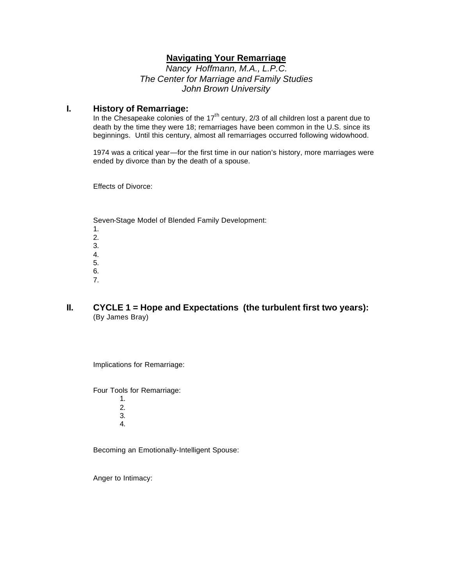### **Navigating Your Remarriage**

*Nancy Hoffmann, M.A., L.P.C. The Center for Marriage and Family Studies John Brown University*

#### **I. History of Remarriage:**

In the Chesapeake colonies of the  $17<sup>th</sup>$  century, 2/3 of all children lost a parent due to death by the time they were 18; remarriages have been common in the U.S. since its beginnings. Until this century, almost all remarriages occurred following widowhood.

1974 was a critical year—for the first time in our nation's history, more marriages were ended by divorce than by the death of a spouse.

Effects of Divorce:

Seven-Stage Model of Blended Family Development: 1. 2. 3. 4. 5. 6.

7.

### **II. CYCLE 1 = Hope and Expectations (the turbulent first two years):** (By James Bray)

Implications for Remarriage:

Four Tools for Remarriage:

1. 2. 3. 4.

Becoming an Emotionally-Intelligent Spouse:

Anger to Intimacy: